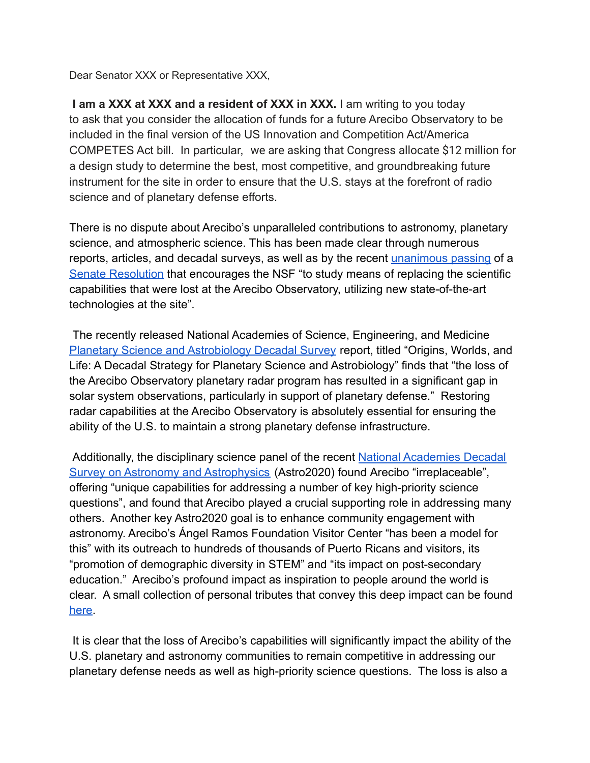Dear Senator XXX or Representative XXX,

**I am a XXX at XXX and a resident of XXX in XXX.** I am writing to you today to ask that you consider the allocation of funds for a future Arecibo Observatory to be included in the final version of the US Innovation and Competition Act/America COMPETES Act bill. In particular, we are asking that Congress allocate \$12 million for a design study to determine the best, most competitive, and groundbreaking future instrument for the site in order to ensure that the U.S. stays at the forefront of radio science and of planetary defense efforts.

There is no dispute about Arecibo's unparalleled contributions to astronomy, planetary science, and atmospheric science. This has been made clear through numerous reports, articles, and decadal surveys, as well as by the recent [unanimous passing](https://www.rubio.senate.gov/public/index.cfm/2022/2/english-espa-ol-rubio-blumenthal-colleagues-applaud-senate-passage-of-resolution-recognizing-contributions-of-puerto-rico-s-arecibo-telescope) of a [Senate Resolution](https://www.rubio.senate.gov/public/_cache/files/a2b92f61-0d1c-41c0-a9d6-a33d7df9829d/3F59CD40827FD386D294304E2513F74A.2.22arecibotelescoperesolutiontext.pdf) that encourages the NSF "to study means of replacing the scientific capabilities that were lost at the Arecibo Observatory, utilizing new state-of-the-art technologies at the site".

The recently released National Academies of Science, Engineering, and Medicine [Planetary Science and Astrobiology Decadal Survey](https://nap.nationalacademies.org/read/26522/chapter/1) report, titled "Origins, Worlds, and Life: A Decadal Strategy for Planetary Science and Astrobiology" finds that "the loss of the Arecibo Observatory planetary radar program has resulted in a significant gap in solar system observations, particularly in support of planetary defense." Restoring radar capabilities at the Arecibo Observatory is absolutely essential for ensuring the ability of the U.S. to maintain a strong planetary defense infrastructure.

Additionally, the disciplinary science panel of the recent [National Academies Decadal](https://www.nationalacademies.org/our-work/decadal-survey-on-astronomy-and-astrophysics-2020-astro2020) [Survey on Astronomy and Astrophysics](https://www.nationalacademies.org/our-work/decadal-survey-on-astronomy-and-astrophysics-2020-astro2020) (Astro2020) found Arecibo "irreplaceable", offering "unique capabilities for addressing a number of key high-priority science questions", and found that Arecibo played a crucial supporting role in addressing many others. Another key Astro2020 goal is to enhance community engagement with astronomy. Arecibo's Ángel Ramos Foundation Visitor Center "has been a model for this" with its outreach to hundreds of thousands of Puerto Ricans and visitors, its "promotion of demographic diversity in STEM" and "its impact on post-secondary education." Arecibo's profound impact as inspiration to people around the world is clear. A small collection of personal tributes that convey this deep impact can be found [here](https://www.youtube.com/playlist?list=PLI17e3NmBrgp2hDV4F_zHu-YlEKX3r22r).

It is clear that the loss of Arecibo's capabilities will significantly impact the ability of the U.S. planetary and astronomy communities to remain competitive in addressing our planetary defense needs as well as high-priority science questions. The loss is also a